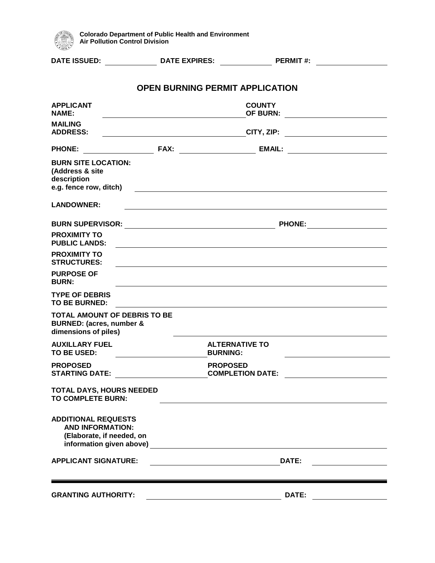

| <b>DATE ISSUED:</b>                                                                                            | <b>DATE EXPIRES:</b>                                                                                                                                                                                                           |                                            | <b>PERMIT#:</b>                  |  |
|----------------------------------------------------------------------------------------------------------------|--------------------------------------------------------------------------------------------------------------------------------------------------------------------------------------------------------------------------------|--------------------------------------------|----------------------------------|--|
|                                                                                                                |                                                                                                                                                                                                                                | <b>OPEN BURNING PERMIT APPLICATION</b>     |                                  |  |
| <b>APPLICANT</b><br><b>NAME:</b>                                                                               |                                                                                                                                                                                                                                | <b>COUNTY</b><br>OF BURN:                  |                                  |  |
| <b>MAILING</b><br><b>ADDRESS:</b>                                                                              | <b>CITY, ZIP:</b><br><u> 1990 - Johann Barbara, martin a</u>                                                                                                                                                                   |                                            |                                  |  |
| <b>PHONE:</b>                                                                                                  |                                                                                                                                                                                                                                |                                            | EMAIL: _________________________ |  |
| <b>BURN SITE LOCATION:</b><br>(Address & site<br>description<br>e.g. fence row, ditch)                         |                                                                                                                                                                                                                                |                                            |                                  |  |
| <b>LANDOWNER:</b>                                                                                              |                                                                                                                                                                                                                                |                                            |                                  |  |
|                                                                                                                | BURN SUPERVISOR: University of the University of the University of the University of the University of the University of the University of the University of the University of the University of the University of the Univers |                                            | <b>PHONE:</b>                    |  |
| <b>PROXIMITY TO</b><br><b>PUBLIC LANDS:</b>                                                                    |                                                                                                                                                                                                                                |                                            |                                  |  |
| <b>PROXIMITY TO</b><br><b>STRUCTURES:</b>                                                                      |                                                                                                                                                                                                                                |                                            |                                  |  |
| <b>PURPOSE OF</b><br><b>BURN:</b>                                                                              |                                                                                                                                                                                                                                |                                            |                                  |  |
| <b>TYPE OF DEBRIS</b><br>TO BE BURNED:                                                                         |                                                                                                                                                                                                                                |                                            |                                  |  |
| <b>BURNED:</b> (acres, number &<br>dimensions of piles)                                                        | <b>TOTAL AMOUNT OF DEBRIS TO BE</b>                                                                                                                                                                                            |                                            |                                  |  |
| <b>AUXILLARY FUEL</b><br>TO BE USED:                                                                           |                                                                                                                                                                                                                                | <b>ALTERNATIVE TO</b><br><b>BURNING:</b>   |                                  |  |
| <b>PROPOSED</b><br><b>STARTING DATE:</b>                                                                       |                                                                                                                                                                                                                                | <b>PROPOSED</b><br><b>COMPLETION DATE:</b> |                                  |  |
| <b>TOTAL DAYS, HOURS NEEDED</b><br><b>TO COMPLETE BURN:</b>                                                    |                                                                                                                                                                                                                                |                                            |                                  |  |
| <b>ADDITIONAL REQUESTS</b><br><b>AND INFORMATION:</b><br>(Elaborate, if needed, on<br>information given above) |                                                                                                                                                                                                                                |                                            |                                  |  |
| <b>APPLICANT SIGNATURE:</b>                                                                                    |                                                                                                                                                                                                                                |                                            | DATE:                            |  |
|                                                                                                                |                                                                                                                                                                                                                                |                                            |                                  |  |

**GRANTING AUTHORITY: DATE:**